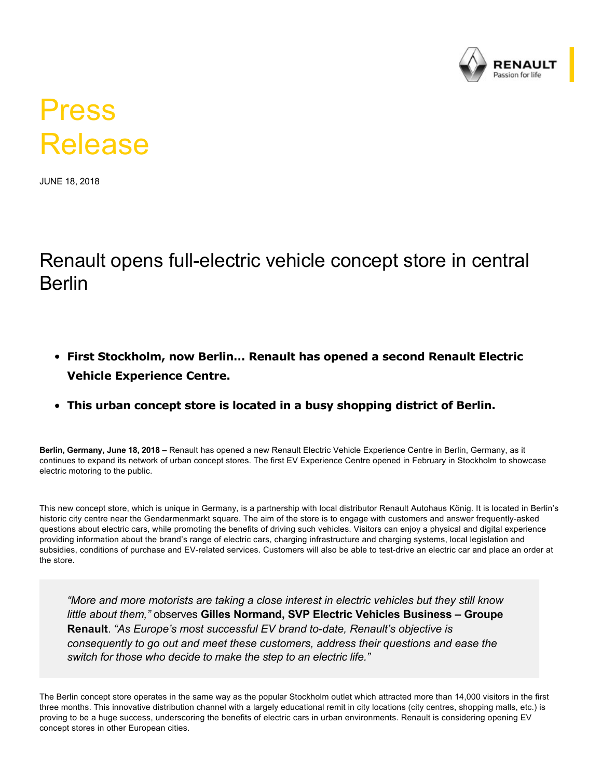

## Press Release

JUNE 18, 2018

## Renault opens full-electric vehicle concept store in central Berlin

- **First Stockholm, now Berlin… Renault has opened a second Renault Electric Vehicle Experience Centre.**
- **This urban concept store is located in a busy shopping district of Berlin.**

**Berlin, Germany, June 18, 2018 –** Renault has opened a new Renault Electric Vehicle Experience Centre in Berlin, Germany, as it continues to expand its network of urban concept stores. The first EV Experience Centre opened in February in Stockholm to showcase electric motoring to the public.

This new concept store, which is unique in Germany, is a partnership with local distributor Renault Autohaus König. It is located in Berlin's historic city centre near the Gendarmenmarkt square. The aim of the store is to engage with customers and answer frequently-asked questions about electric cars, while promoting the benefits of driving such vehicles. Visitors can enjoy a physical and digital experience providing information about the brand's range of electric cars, charging infrastructure and charging systems, local legislation and subsidies, conditions of purchase and EV-related services. Customers will also be able to test-drive an electric car and place an order at the store.

*"More and more motorists are taking a close interest in electric vehicles but they still know little about them,"* observes **Gilles Normand, SVP Electric Vehicles Business – Groupe Renault**. "As Europe's most successful EV brand to-date, Renault's objective is *consequently to go out and meet these customers, address their questions and ease the switch for those who decide to make the step to an electric life."*

The Berlin concept store operates in the same way as the popular Stockholm outlet which attracted more than 14,000 visitors in the first three months. This innovative distribution channel with a largely educational remit in city locations (city centres, shopping malls, etc.) is proving to be a huge success, underscoring the benefits of electric cars in urban environments. Renault is considering opening EV concept stores in other European cities.